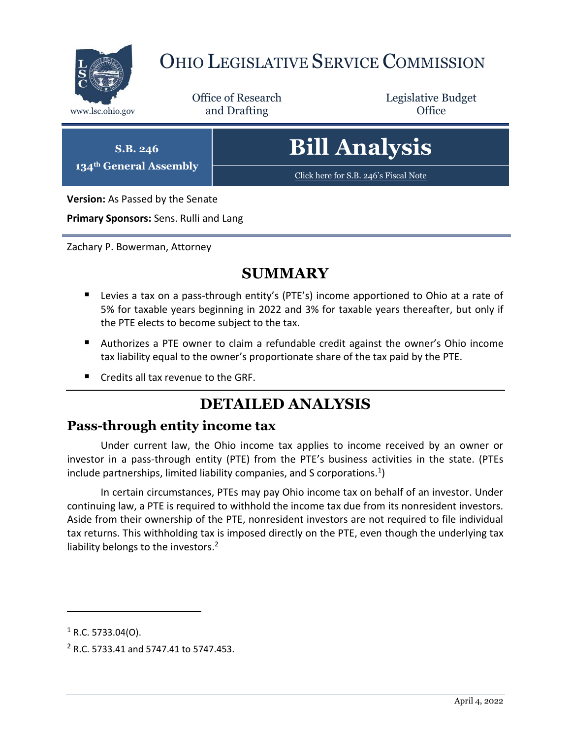

## OHIO LEGISLATIVE SERVICE COMMISSION

Office of Research www.lsc.ohio.gov **and Drafting Office** 

Legislative Budget

**S.B. 246 134th General Assembly**

# **Bill Analysis**

[Click here for S.B. 246](https://www.legislature.ohio.gov/legislation/legislation-documents?id=GA134-SB-246)'s Fiscal Note

**Version:** As Passed by the Senate

**Primary Sponsors:** Sens. Rulli and Lang

Zachary P. Bowerman, Attorney

### **SUMMARY**

- Levies a tax on a pass-through entity's (PTE's) income apportioned to Ohio at a rate of 5% for taxable years beginning in 2022 and 3% for taxable years thereafter, but only if the PTE elects to become subject to the tax.
- Authorizes a PTE owner to claim a refundable credit against the owner's Ohio income tax liability equal to the owner's proportionate share of the tax paid by the PTE.
- Credits all tax revenue to the GRF.

## **DETAILED ANALYSIS**

#### **Pass-through entity income tax**

Under current law, the Ohio income tax applies to income received by an owner or investor in a pass-through entity (PTE) from the PTE's business activities in the state. (PTEs include partnerships, limited liability companies, and S corporations.<sup>1</sup>)

In certain circumstances, PTEs may pay Ohio income tax on behalf of an investor. Under continuing law, a PTE is required to withhold the income tax due from its nonresident investors. Aside from their ownership of the PTE, nonresident investors are not required to file individual tax returns. This withholding tax is imposed directly on the PTE, even though the underlying tax liability belongs to the investors.<sup>2</sup>

 $\overline{a}$ 

 $1$  R.C. 5733.04(O).

<sup>2</sup> R.C. 5733.41 and 5747.41 to 5747.453.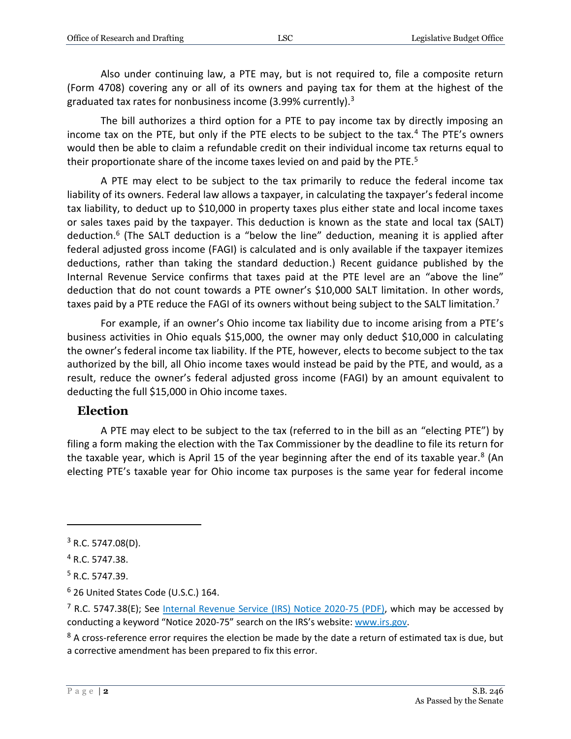Also under continuing law, a PTE may, but is not required to, file a composite return (Form 4708) covering any or all of its owners and paying tax for them at the highest of the graduated tax rates for nonbusiness income (3.99% currently).<sup>3</sup>

The bill authorizes a third option for a PTE to pay income tax by directly imposing an income tax on the PTE, but only if the PTE elects to be subject to the tax.<sup>4</sup> The PTE's owners would then be able to claim a refundable credit on their individual income tax returns equal to their proportionate share of the income taxes levied on and paid by the PTE.<sup>5</sup>

A PTE may elect to be subject to the tax primarily to reduce the federal income tax liability of its owners. Federal law allows a taxpayer, in calculating the taxpayer's federal income tax liability, to deduct up to \$10,000 in property taxes plus either state and local income taxes or sales taxes paid by the taxpayer. This deduction is known as the state and local tax (SALT) deduction.<sup>6</sup> (The SALT deduction is a "below the line" deduction, meaning it is applied after federal adjusted gross income (FAGI) is calculated and is only available if the taxpayer itemizes deductions, rather than taking the standard deduction.) Recent guidance published by the Internal Revenue Service confirms that taxes paid at the PTE level are an "above the line" deduction that do not count towards a PTE owner's \$10,000 SALT limitation. In other words, taxes paid by a PTE reduce the FAGI of its owners without being subject to the SALT limitation.<sup>7</sup>

For example, if an owner's Ohio income tax liability due to income arising from a PTE's business activities in Ohio equals \$15,000, the owner may only deduct \$10,000 in calculating the owner's federal income tax liability. If the PTE, however, elects to become subject to the tax authorized by the bill, all Ohio income taxes would instead be paid by the PTE, and would, as a result, reduce the owner's federal adjusted gross income (FAGI) by an amount equivalent to deducting the full \$15,000 in Ohio income taxes.

#### **Election**

A PTE may elect to be subject to the tax (referred to in the bill as an "electing PTE") by filing a form making the election with the Tax Commissioner by the deadline to file its return for the taxable year, which is April 15 of the year beginning after the end of its taxable year.<sup>8</sup> (An electing PTE's taxable year for Ohio income tax purposes is the same year for federal income

 $\overline{a}$ 

 $3$  R.C. 5747.08(D).

<sup>4</sup> R.C. 5747.38.

<sup>5</sup> R.C. 5747.39.

<sup>6</sup> 26 United States Code (U.S.C.) 164.

 $<sup>7</sup>$  R.C. 5747.38(E); See [Internal Revenue Service \(IRS\)](https://www.irs.gov/pub/irs-drop/n-20-75.pdf) Notice 2020-75 (PDF), which may be accessed by</sup> conducting a keyword "Notice 2020-75" search on the IRS's website[: www.irs.gov.](http://www.irs.gov/)

 $8$  A cross-reference error requires the election be made by the date a return of estimated tax is due, but a corrective amendment has been prepared to fix this error.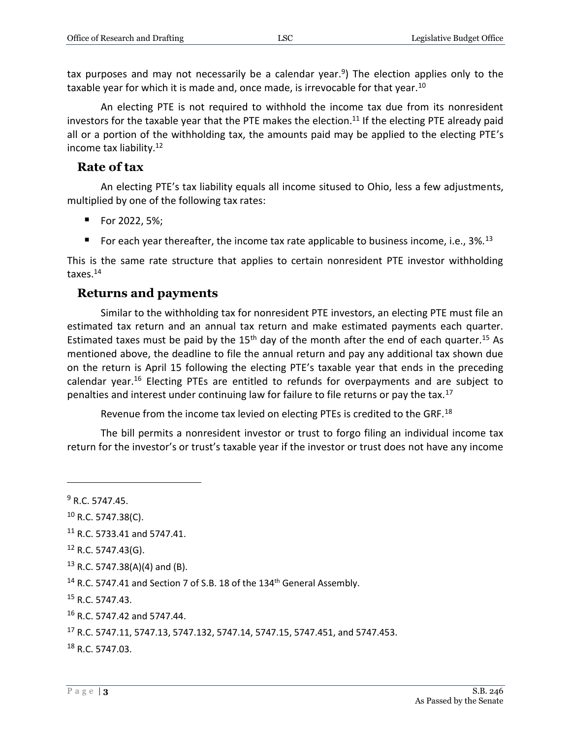tax purposes and may not necessarily be a calendar year.<sup>9</sup>) The election applies only to the taxable year for which it is made and, once made, is irrevocable for that year.<sup>10</sup>

An electing PTE is not required to withhold the income tax due from its nonresident investors for the taxable year that the PTE makes the election.<sup>11</sup> If the electing PTE already paid all or a portion of the withholding tax, the amounts paid may be applied to the electing PTE's income tax liability.<sup>12</sup>

#### **Rate of tax**

An electing PTE's tax liability equals all income sitused to Ohio, less a few adjustments, multiplied by one of the following tax rates:

- For 2022, 5%;
- For each year thereafter, the income tax rate applicable to business income, i.e.,  $3\%$ .<sup>13</sup>

This is the same rate structure that applies to certain nonresident PTE investor withholding taxes.<sup>14</sup>

#### **Returns and payments**

Similar to the withholding tax for nonresident PTE investors, an electing PTE must file an estimated tax return and an annual tax return and make estimated payments each quarter. Estimated taxes must be paid by the  $15<sup>th</sup>$  day of the month after the end of each quarter.<sup>15</sup> As mentioned above, the deadline to file the annual return and pay any additional tax shown due on the return is April 15 following the electing PTE's taxable year that ends in the preceding calendar year.<sup>16</sup> Electing PTEs are entitled to refunds for overpayments and are subject to penalties and interest under continuing law for failure to file returns or pay the tax.<sup>17</sup>

Revenue from the income tax levied on electing PTEs is credited to the GRF.<sup>18</sup>

The bill permits a nonresident investor or trust to forgo filing an individual income tax return for the investor's or trust's taxable year if the investor or trust does not have any income

 $\overline{a}$ 

 $9 R. C. 5747.45.$ 

 $10$  R.C. 5747.38(C).

<sup>&</sup>lt;sup>11</sup> R.C. 5733.41 and 5747.41.

 $12$  R.C. 5747.43(G).

 $13$  R.C. 5747.38(A)(4) and (B).

 $^{14}$  R.C. 5747.41 and Section 7 of S.B. 18 of the 134<sup>th</sup> General Assembly.

<sup>15</sup> R.C. 5747.43.

<sup>16</sup> R.C. 5747.42 and 5747.44.

<sup>17</sup> R.C. 5747.11, 5747.13, 5747.132, 5747.14, 5747.15, 5747.451, and 5747.453.

<sup>18</sup> R.C. 5747.03.